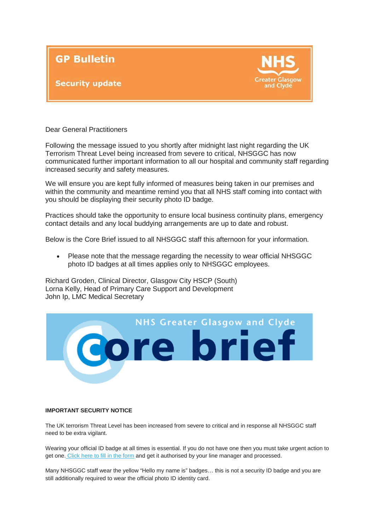

## **Security update**



Dear General Practitioners

Following the message issued to you shortly after midnight last night regarding the UK Terrorism Threat Level being increased from severe to critical, NHSGGC has now communicated further important information to all our hospital and community staff regarding increased security and safety measures.

We will ensure you are kept fully informed of measures being taken in our premises and within the community and meantime remind you that all NHS staff coming into contact with you should be displaying their security photo ID badge.

Practices should take the opportunity to ensure local business continuity plans, emergency contact details and any local buddying arrangements are up to date and robust.

Below is the Core Brief issued to all NHSGGC staff this afternoon for your information.

• Please note that the message regarding the necessity to wear official NHSGGC photo ID badges at all times applies only to NHSGGC employees.

Richard Groden, Clinical Director, Glasgow City HSCP (South) Lorna Kelly, Head of Primary Care Support and Development John Ip, LMC Medical Secretary



## **IMPORTANT SECURITY NOTICE**

The UK terrorism Threat Level has been increased from severe to critical and in response all NHSGGC staff need to be extra vigilant.

Wearing your official ID badge at all times is essential. If you do not have one then you must take urgent action to get one. [Click here to fill in the form](http://nhsggc.us12.list-manage.com/track/click?u=0f385b5aea37eaf0213bd19fb&id=027d1b113e&e=5af5e1832c) and get it authorised by your line manager and processed.

Many NHSGGC staff wear the yellow "Hello my name is" badges… this is not a security ID badge and you are still additionally required to wear the official photo ID identity card.